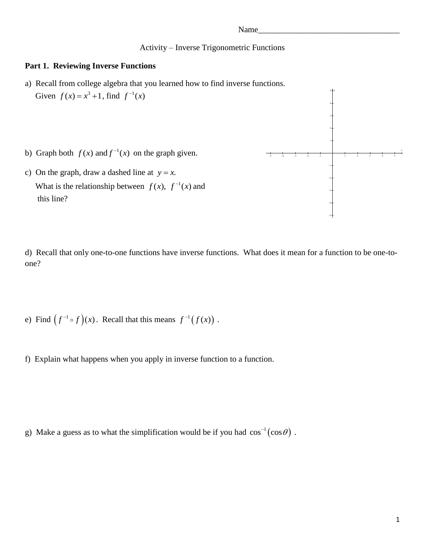### Activity – Inverse Trigonometric Functions

### **Part 1. Reviewing Inverse Functions**

- a) Recall from college algebra that you learned how to find inverse functions. Given  $f(x) = x^3 + 1$ , find  $f^{-1}(x)$
- b) Graph both  $f(x)$  and  $f^{-1}(x)$  on the graph given.
- c) On the graph, draw a dashed line at  $y = x$ . What is the relationship between  $f(x)$ ,  $f^{-1}(x)$ this line?



d) Recall that only one-to-one functions have inverse functions. What does it mean for a function to be one-toone?

e) Find  $(f^{-1} \circ f)(x)$ . Recall that this means  $f^{-1}(f(x))$ .

f) Explain what happens when you apply in inverse function to a function.

g) Make a guess as to what the simplification would be if you had  $\cos^{-1}(\cos\theta)$ .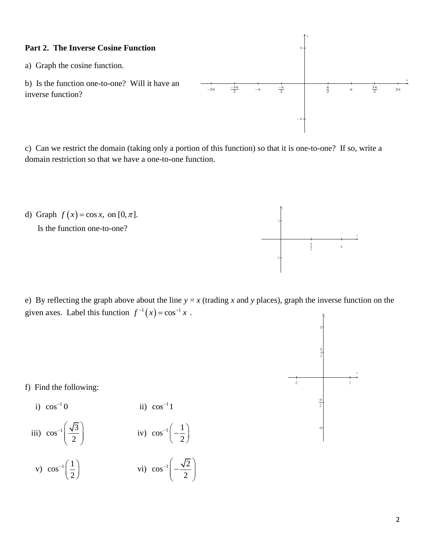# **Part 2. The Inverse Cosine Function**

a) Graph the cosine function.

b) Is the function one-to-one? Will it have an inverse function?

 $-2\pi$   $\frac{-3\pi}{2}$   $-\pi$  $\frac{-\pi}{2}$  $\frac{\pi}{2}$   $\pi$  $rac{3\pi}{2}$  $2\pi$  $-1 +$  $1 +$ x

y

c) Can we restrict the domain (taking only a portion of this function) so that it is one-to-one? If so, write a domain restriction so that we have a one-to-one function.



e) By reflecting the graph above about the line  $y = x$  (trading *x* and *y* places), graph the inverse function on the given axes. Label this function  $f^{-1}(x) = \cos^{-1} x$ .



f) Find the following:

i) 
$$
\cos^{-1} 0
$$
  
\nii)  $\cos^{-1} 1$   
\niii)  $\cos^{-1} \left(\frac{\sqrt{3}}{2}\right)$   
\niv)  $\cos^{-1} \left(-\frac{1}{2}\right)$ 

v) 
$$
\cos^{-1}\left(\frac{1}{2}\right)
$$
 \t\t vi)  $\cos^{-1}\left(-\frac{\sqrt{2}}{2}\right)$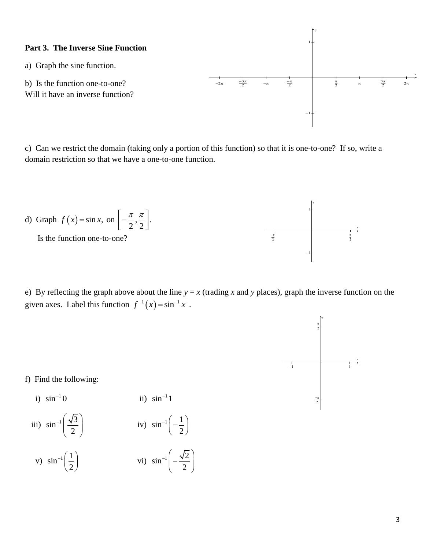

c) Can we restrict the domain (taking only a portion of this function) so that it is one-to-one? If so, write a domain restriction so that we have a one-to-one function.



e) By reflecting the graph above about the line  $y = x$  (trading *x* and *y* places), graph the inverse function on the given axes. Label this function  $f^{-1}(x) = \sin^{-1} x$ .



f) Find the following:

i) 
$$
\sin^{-1} 0
$$
 ii)  $\sin^{-1} 1$   
iii)  $\sin^{-1} \left( \frac{\sqrt{3}}{2} \right)$  iv)  $\sin^{-1} \left( -\frac{1}{2} \right)$ 

v) 
$$
\sin^{-1}\left(\frac{1}{2}\right)
$$
 \t\t vi)  $\sin^{-1}\left(-\frac{\sqrt{2}}{2}\right)$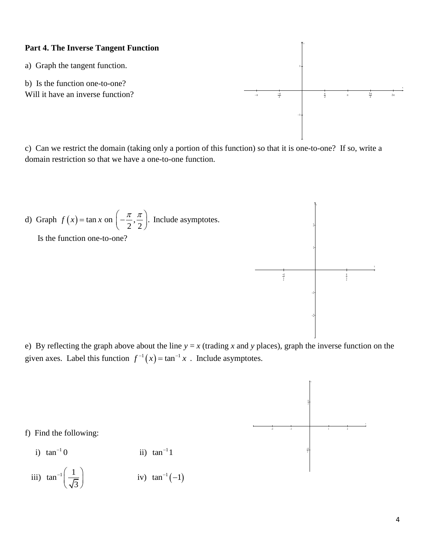## **Part 4. The Inverse Tangent Function**

a) Graph the tangent function.

b) Is the function one-to-one? Will it have an inverse function?

c) Can we restrict the domain (taking only a portion of this function) so that it is one-to-one? If so, write a domain restriction so that we have a one-to-one function.

d) Graph 
$$
f(x) = \tan x
$$
 on  $\left(-\frac{\pi}{2}, \frac{\pi}{2}\right)$ . Include asymptotes.

Is the function one-to-one?

e) By reflecting the graph above about the line  $y = x$  (trading *x* and *y* places), graph the inverse function on the given axes. Label this function  $f^{-1}(x) = \tan^{-1} x$ . Include asymptotes.



- i)  $\tan^{-1} 0$ ii)  $\tan^{-1}1$
- iii)  $\tan^{-1}\left(\frac{1}{\pi}\right)$  $^{-1}\left(\frac{1}{\sqrt{3}}\right)$ iv)  $\tan^{-1}(-1)$





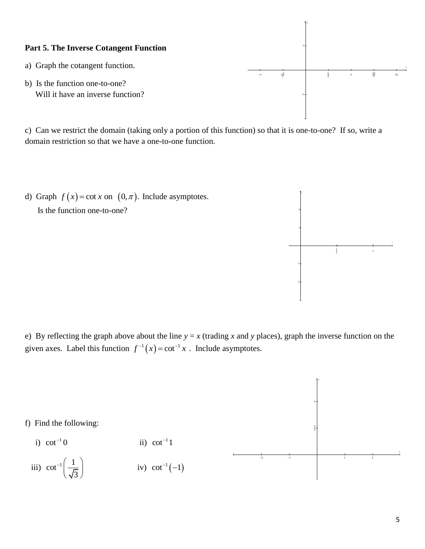# **Part 5. The Inverse Cotangent Function**

- a) Graph the cotangent function.
- b) Is the function one-to-one? Will it have an inverse function?

c) Can we restrict the domain (taking only a portion of this function) so that it is one-to-one? If so, write a domain restriction so that we have a one-to-one function.

 $-\pi$ 

 $\frac{-\pi}{2}$ 

 $-1+$ 

 $1 +$ 

y

 $rac{\pi}{2}$ 

 $\frac{\pi}{2}$   $\pi$ 

 $3\pi$  $\mathbf{2}$ 

 $2\pi$ 

x

d) Graph  $f(x) = \cot x$  on  $(0, \pi)$ . Include asymptotes. Is the function one-to-one?









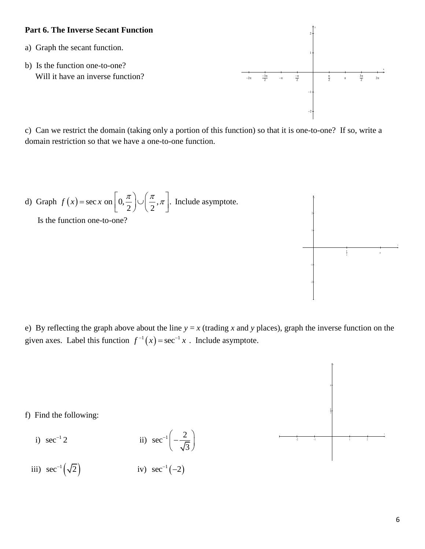## **Part 6. The Inverse Secant Function**

- a) Graph the secant function.
- b) Is the function one-to-one? Will it have an inverse function?

 $-2\pi$   $\frac{-3\pi}{2}$   $-\pi$  $\frac{-\pi}{2}$  $\frac{\pi}{2}$   $\pi$  $\frac{3\pi}{2}$  $\frac{1}{2\pi}$  $-2+$  $-1+$  $1 +$  $2+$ x y

c) Can we restrict the domain (taking only a portion of this function) so that it is one-to-one? If so, write a domain restriction so that we have a one-to-one function.

d) Graph 
$$
f(x) = \sec x
$$
 on  $\left[0, \frac{\pi}{2}\right] \cup \left(\frac{\pi}{2}, \pi\right]$ . Include asymptote.

Is the function one-to-one?



e) By reflecting the graph above about the line  $y = x$  (trading x and y places), graph the inverse function on the given axes. Label this function  $f^{-1}(x) = \sec^{-1} x$ . Include asymptote.



f) Find the following:

- i)  $sec^{-1} 2$ ii)  $\sec^{-1}\left(-\frac{2}{\epsilon}\right)$ 3  $^{-1}\left(-\frac{2}{\sqrt{3}}\right)$
- iii)  $\sec^{-1}(\sqrt{2})$ iv)  $sec^{-1}(-2)$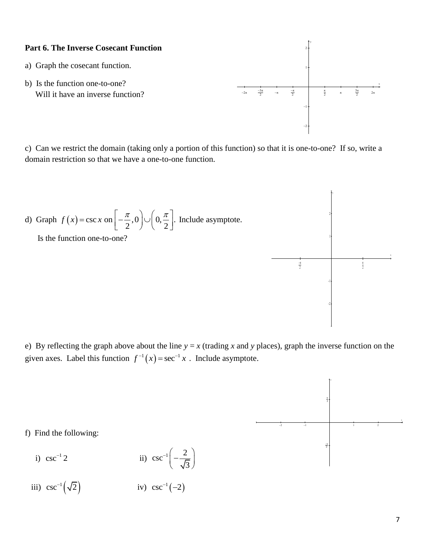### **Part 6. The Inverse Cosecant Function**

- a) Graph the cosecant function.
- b) Is the function one-to-one? Will it have an inverse function?

c) Can we restrict the domain (taking only a portion of this function) so that it is one-to-one? If so, write a domain restriction so that we have a one-to-one function.

d) Graph 
$$
f(x) = \csc x
$$
 on  $\left[-\frac{\pi}{2}, 0\right] \cup \left(0, \frac{\pi}{2}\right]$ . Include asymptote.



e) By reflecting the graph above about the line  $y = x$  (trading *x* and *y* places), graph the inverse function on the given axes. Label this function  $f^{-1}(x) = \sec^{-1} x$ . Include asymptote.



f) Find the following:

i) 
$$
csc^{-1}2
$$
 ii)  $csc^{-1}\left(-\frac{2}{\sqrt{3}}\right)$ 

iii)  $\csc^{-1}(\sqrt{2})$ iv)  $csc^{-1}(-2)$ 



 $\frac{-\pi}{2}$ 

 $\frac{\pi}{2}$   $\frac{\pi}{2}$ 

 $11$ 

41.

y

-41

−! †

 $\frac{\pi}{2}$ 

x